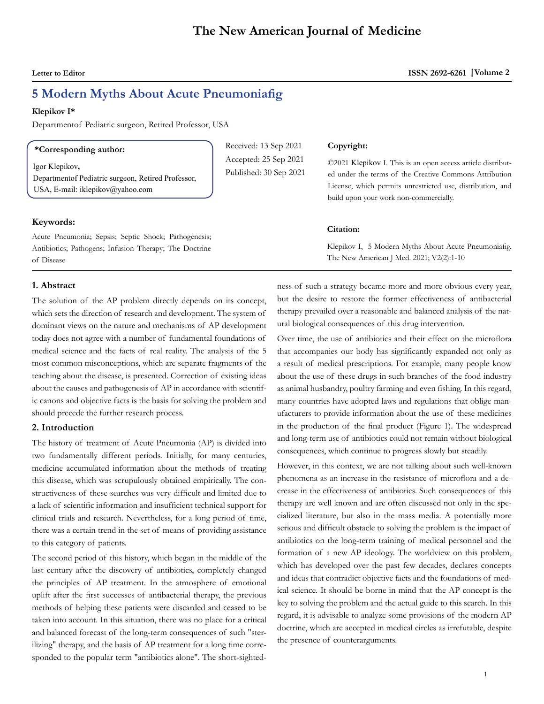# **5 Modern Myths About Acute Pneumoniafig**

#### **Klepikov I\***

Departmentof Pediatric surgeon, Retired Professor, USA

#### **\*Corresponding author:**

Igor Klepikov**,**  Departmentof Pediatric surgeon, Retired Professor, USA, E-mail: [iklepikov@yahoo.com](mailto:iklepikov@yahoo.com)

#### **Keywords:**

Acute Pneumonia; Sepsis; Septic Shock; Pathogenesis; Antibiotics; Pathogens; Infusion Therapy; The Doctrine of Disease

#### **1. Abstract**

The solution of the AP problem directly depends on its concept, which sets the direction of research and development. The system of dominant views on the nature and mechanisms of AP development today does not agree with a number of fundamental foundations of medical science and the facts of real reality. The analysis of the 5 most common misconceptions, which are separate fragments of the teaching about the disease, is presented. Correction of existing ideas about the causes and pathogenesis of AP in accordance with scientific canons and objective facts is the basis for solving the problem and should precede the further research process.

### **2. Introduction**

The history of treatment of Acute Pneumonia (AP) is divided into two fundamentally different periods. Initially, for many centuries, medicine accumulated information about the methods of treating this disease, which was scrupulously obtained empirically. The constructiveness of these searches was very difficult and limited due to a lack of scientific information and insufficient technical support for clinical trials and research. Nevertheless, for a long period of time, there was a certain trend in the set of means of providing assistance to this category of patients.

The second period of this history, which began in the middle of the last century after the discovery of antibiotics, completely changed the principles of AP treatment. In the atmosphere of emotional uplift after the first successes of antibacterial therapy, the previous methods of helping these patients were discarded and ceased to be taken into account. In this situation, there was no place for a critical and balanced forecast of the long-term consequences of such "sterilizing" therapy, and the basis of AP treatment for a long time corresponded to the popular term "antibiotics alone". The short-sighted-

Received: 13 Sep 2021 Accepted: 25 Sep 2021 Published: 30 Sep 2021

#### **Copyright:**

©2021 Klepikov I. This is an open access article distributed under the terms of the Creative Commons Attribution License, which permits unrestricted use, distribution, and build upon your work non-commercially.

#### **Citation:**

Klepikov I, 5 Modern Myths About Acute Pneumoniafig. The New American J Med. 2021; V2(2):1-10

ness of such a strategy became more and more obvious every year, but the desire to restore the former effectiveness of antibacterial therapy prevailed over a reasonable and balanced analysis of the natural biological consequences of this drug intervention.

Over time, the use of antibiotics and their effect on the microflora that accompanies our body has significantly expanded not only as a result of medical prescriptions. For example, many people know about the use of these drugs in such branches of the food industry as animal husbandry, poultry farming and even fishing. In this regard, many countries have adopted laws and regulations that oblige manufacturers to provide information about the use of these medicines in the production of the final product (Figure 1). The widespread and long-term use of antibiotics could not remain without biological consequences, which continue to progress slowly but steadily.

However, in this context, we are not talking about such well-known phenomena as an increase in the resistance of microflora and a decrease in the effectiveness of antibiotics. Such consequences of this therapy are well known and are often discussed not only in the specialized literature, but also in the mass media. A potentially more serious and difficult obstacle to solving the problem is the impact of antibiotics on the long-term training of medical personnel and the formation of a new AP ideology. The worldview on this problem, which has developed over the past few decades, declares concepts and ideas that contradict objective facts and the foundations of medical science. It should be borne in mind that the AP concept is the key to solving the problem and the actual guide to this search. In this regard, it is advisable to analyze some provisions of the modern AP doctrine, which are accepted in medical circles as irrefutable, despite the presence of counterarguments.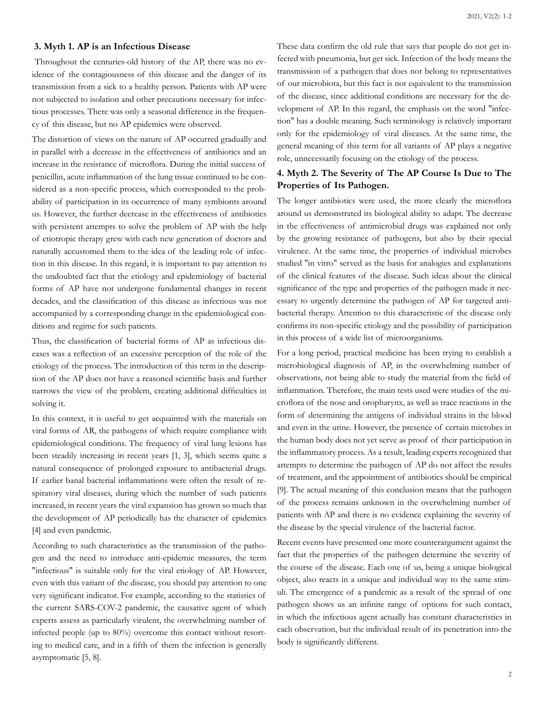#### **3. Myth 1. AP is an Infectious Disease**

 Throughout the centuries-old history of the AP, there was no evidence of the contagiousness of this disease and the danger of its transmission from a sick to a healthy person. Patients with AP were not subjected to isolation and other precautions necessary for infectious processes. There was only a seasonal difference in the frequency of this disease, but no AP epidemics were observed.

The distortion of views on the nature of AP occurred gradually and in parallel with a decrease in the effectiveness of antibiotics and an increase in the resistance of microflora. During the initial success of penicillin, acute inflammation of the lung tissue continued to be considered as a non-specific process, which corresponded to the probability of participation in its occurrence of many symbionts around us. However, the further decrease in the effectiveness of antibiotics with persistent attempts to solve the problem of AP with the help of etiotropic therapy grew with each new generation of doctors and naturally accustomed them to the idea of the leading role of infection in this disease. In this regard, it is important to pay attention to the undoubted fact that the etiology and epidemiology of bacterial forms of AP have not undergone fundamental changes in recent decades, and the classification of this disease as infectious was not accompanied by a corresponding change in the epidemiological conditions and regime for such patients.

Thus, the classification of bacterial forms of AP as infectious diseases was a reflection of an excessive perception of the role of the etiology of the process. The introduction of this term in the description of the AP does not have a reasoned scientific basis and further narrows the view of the problem, creating additional difficulties in solving it.

In this context, it is useful to get acquainted with the materials on viral forms of AR, the pathogens of which require compliance with epidemiological conditions. The frequency of viral lung lesions has been steadily increasing in recent years [1, 3], which seems quite a natural consequence of prolonged exposure to antibacterial drugs. If earlier banal bacterial inflammations were often the result of respiratory viral diseases, during which the number of such patients increased, in recent years the viral expansion has grown so much that the development of AP periodically has the character of epidemics [4] and even pandemic.

According to such characteristics as the transmission of the pathogen and the need to introduce anti-epidemic measures, the term "infectious" is suitable only for the viral etiology of AP. However, even with this variant of the disease, you should pay attention to one very significant indicator. For example, according to the statistics of the current SARS-COV-2 pandemic, the causative agent of which experts assess as particularly virulent, the overwhelming number of infected people (up to 80%) overcome this contact without resorting to medical care, and in a fifth of them the infection is generally asymptomatic [5, 8].

These data confirm the old rule that says that people do not get infected with pneumonia, but get sick. Infection of the body means the transmission of a pathogen that does not belong to representatives of our microbiota, but this fact is not equivalent to the transmission of the disease, since additional conditions are necessary for the development of AP. In this regard, the emphasis on the word "infection" has a double meaning. Such terminology is relatively important only for the epidemiology of viral diseases. At the same time, the general meaning of this term for all variants of AP plays a negative role, unnecessarily focusing on the etiology of the process.

## **4. Myth 2. The Severity of The AP Course Is Due to The Properties of Its Pathogen.**

The longer antibiotics were used, the more clearly the microflora around us demonstrated its biological ability to adapt. The decrease in the effectiveness of antimicrobial drugs was explained not only by the growing resistance of pathogens, but also by their special virulence. At the same time, the properties of individual microbes studied "in vitro" served as the basis for analogies and explanations of the clinical features of the disease. Such ideas about the clinical significance of the type and properties of the pathogen made it necessary to urgently determine the pathogen of AP for targeted antibacterial therapy. Attention to this characteristic of the disease only confirms its non-specific etiology and the possibility of participation in this process of a wide list of microorganisms.

For a long period, practical medicine has been trying to establish a microbiological diagnosis of AP, in the overwhelming number of observations, not being able to study the material from the field of inflammation. Therefore, the main tests used were studies of the microflora of the nose and oropharynx, as well as trace reactions in the form of determining the antigens of individual strains in the blood and even in the urine. However, the presence of certain microbes in the human body does not yet serve as proof of their participation in the inflammatory process. As a result, leading experts recognized that attempts to determine the pathogen of AP do not affect the results of treatment, and the appointment of antibiotics should be empirical [9]. The actual meaning of this conclusion means that the pathogen of the process remains unknown in the overwhelming number of patients with AP and there is no evidence explaining the severity of the disease by the special virulence of the bacterial factor.

Recent events have presented one more counterargument against the fact that the properties of the pathogen determine the severity of the course of the disease. Each one of us, being a unique biological object, also reacts in a unique and individual way to the same stimuli. The emergence of a pandemic as a result of the spread of one pathogen shows us an infinite range of options for such contact, in which the infectious agent actually has constant characteristics in each observation, but the individual result of its penetration into the body is significantly different.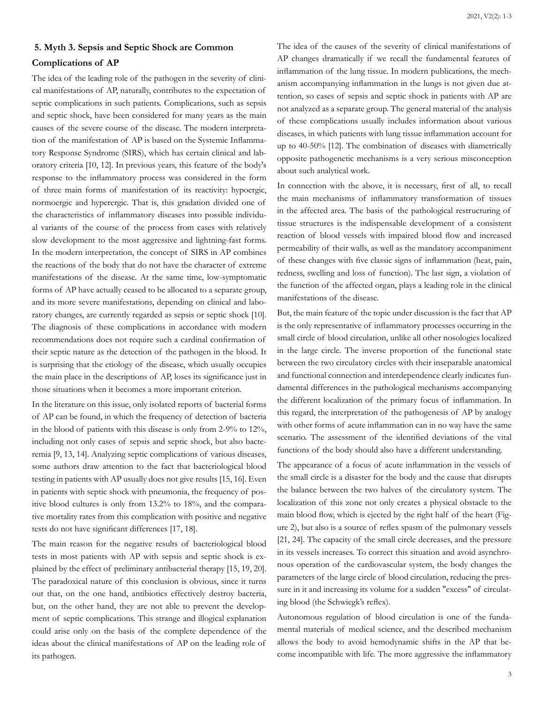## **5. Myth 3. Sepsis and Septic Shock are Common Complications of AP**

The idea of the leading role of the pathogen in the severity of clinical manifestations of AP, naturally, contributes to the expectation of septic complications in such patients. Complications, such as sepsis and septic shock, have been considered for many years as the main causes of the severe course of the disease. The modern interpretation of the manifestation of AР is based on the Systemic Inflammatory Response Syndrome (SIRS), which has certain clinical and laboratory criteria [10, 12]. In previous years, this feature of the body's response to the inflammatory process was considered in the form of three main forms of manifestation of its reactivity: hypoergic, normoergic and hyperergic. That is, this gradation divided one of the characteristics of inflammatory diseases into possible individual variants of the course of the process from cases with relatively slow development to the most aggressive and lightning-fast forms. In the modern interpretation, the concept of SIRS in AP combines the reactions of the body that do not have the character of extreme manifestations of the disease. At the same time, low-symptomatic forms of AP have actually ceased to be allocated to a separate group, and its more severe manifestations, depending on clinical and laboratory changes, are currently regarded as sepsis or septic shock [10]. The diagnosis of these complications in accordance with modern recommendations does not require such a cardinal confirmation of their septic nature as the detection of the pathogen in the blood. It is surprising that the etiology of the disease, which usually occupies the main place in the descriptions of AP, loses its significance just in those situations when it becomes a more important criterion.

In the literature on this issue, only isolated reports of bacterial forms of AP can be found, in which the frequency of detection of bacteria in the blood of patients with this disease is only from 2-9% to 12%, including not only cases of sepsis and septic shock, but also bacteremia [9, 13, 14]. Analyzing septic complications of various diseases, some authors draw attention to the fact that bacteriological blood testing in patients with AP usually does not give results [15, 16]. Even in patients with septic shock with pneumonia, the frequency of positive blood cultures is only from 13.2% to 18%, and the comparative mortality rates from this complication with positive and negative tests do not have significant differences [17, 18].

The main reason for the negative results of bacteriological blood tests in most patients with AP with sepsis and septic shock is explained by the effect of preliminary antibacterial therapy [15, 19, 20]. The paradoxical nature of this conclusion is obvious, since it turns out that, on the one hand, antibiotics effectively destroy bacteria, but, on the other hand, they are not able to prevent the development of septic complications. This strange and illogical explanation could arise only on the basis of the complete dependence of the ideas about the clinical manifestations of AP on the leading role of its pathogen.

The idea of the causes of the severity of clinical manifestations of AP changes dramatically if we recall the fundamental features of inflammation of the lung tissue. In modern publications, the mechanism accompanying inflammation in the lungs is not given due attention, so cases of sepsis and septic shock in patients with AP are not analyzed as a separate group. The general material of the analysis of these complications usually includes information about various diseases, in which patients with lung tissue inflammation account for up to 40-50% [12]. The combination of diseases with diametrically opposite pathogenetic mechanisms is a very serious misconception about such analytical work.

In connection with the above, it is necessary, first of all, to recall the main mechanisms of inflammatory transformation of tissues in the affected area. The basis of the pathological restructuring of tissue structures is the indispensable development of a consistent reaction of blood vessels with impaired blood flow and increased permeability of their walls, as well as the mandatory accompaniment of these changes with five classic signs of inflammation (heat, pain, redness, swelling and loss of function). The last sign, a violation of the function of the affected organ, plays a leading role in the clinical manifestations of the disease.

But, the main feature of the topic under discussion is the fact that AP is the only representative of inflammatory processes occurring in the small circle of blood circulation, unlike all other nosologies localized in the large circle. The inverse proportion of the functional state between the two circulatory circles with their inseparable anatomical and functional connection and interdependence clearly indicates fundamental differences in the pathological mechanisms accompanying the different localization of the primary focus of inflammation. In this regard, the interpretation of the pathogenesis of AP by analogy with other forms of acute inflammation can in no way have the same scenario. The assessment of the identified deviations of the vital functions of the body should also have a different understanding.

The appearance of a focus of acute inflammation in the vessels of the small circle is a disaster for the body and the cause that disrupts the balance between the two halves of the circulatory system. The localization of this zone not only creates a physical obstacle to the main blood flow, which is ejected by the right half of the heart (Figure 2), but also is a source of reflex spasm of the pulmonary vessels [21, 24]. The capacity of the small circle decreases, and the pressure in its vessels increases. To correct this situation and avoid asynchronous operation of the cardiovascular system, the body changes the parameters of the large circle of blood circulation, reducing the pressure in it and increasing its volume for a sudden "excess" of circulating blood (the Schwiegk's reflex).

Autonomous regulation of blood circulation is one of the fundamental materials of medical science, and the described mechanism allows the body to avoid hemodynamic shifts in the AP that become incompatible with life. The more aggressive the inflammatory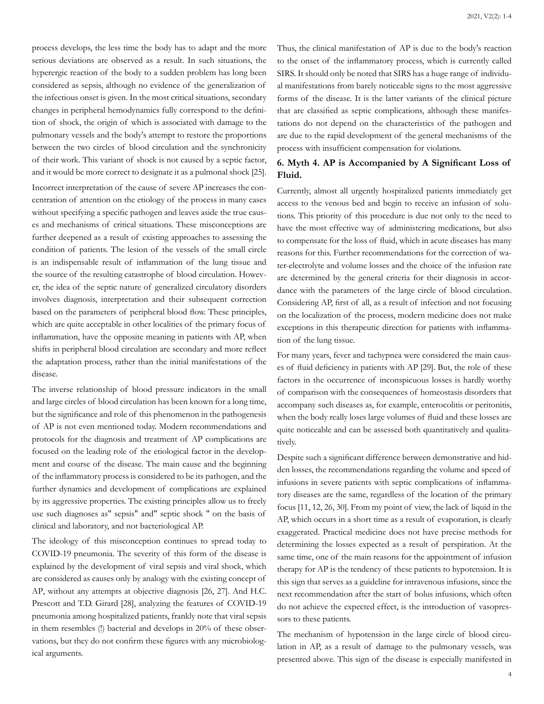process develops, the less time the body has to adapt and the more serious deviations are observed as a result. In such situations, the hyperergic reaction of the body to a sudden problem has long been considered as sepsis, although no evidence of the generalization of the infectious onset is given. In the most critical situations, secondary changes in peripheral hemodynamics fully correspond to the definition of shock, the origin of which is associated with damage to the pulmonary vessels and the body's attempt to restore the proportions between the two circles of blood circulation and the synchronicity of their work. This variant of shock is not caused by a septic factor, and it would be more correct to designate it as a pulmonal shock [25]. Incorrect interpretation of the cause of severe AP increases the concentration of attention on the etiology of the process in many cases without specifying a specific pathogen and leaves aside the true causes and mechanisms of critical situations. These misconceptions are further deepened as a result of existing approaches to assessing the condition of patients. The lesion of the vessels of the small circle is an indispensable result of inflammation of the lung tissue and the source of the resulting catastrophe of blood circulation. However, the idea of the septic nature of generalized circulatory disorders involves diagnosis, interpretation and their subsequent correction based on the parameters of peripheral blood flow. These principles, which are quite acceptable in other localities of the primary focus of inflammation, have the opposite meaning in patients with AP, when shifts in peripheral blood circulation are secondary and more reflect the adaptation process, rather than the initial manifestations of the disease.

The inverse relationship of blood pressure indicators in the small and large circles of blood circulation has been known for a long time, but the significance and role of this phenomenon in the pathogenesis of AP is not even mentioned today. Modern recommendations and protocols for the diagnosis and treatment of AP complications are focused on the leading role of the etiological factor in the development and course of the disease. The main cause and the beginning of the inflammatory process is considered to be its pathogen, and the further dynamics and development of complications are explained by its aggressive properties. The existing principles allow us to freely use such diagnoses as" sepsis" and" septic shock " on the basis of clinical and laboratory, and not bacteriological АP.

The ideology of this misconception continues to spread today to COVID-19 pneumonia. The severity of this form of the disease is explained by the development of viral sepsis and viral shock, which are considered as causes only by analogy with the existing concept of АР, without any attempts at objective diagnosis [26, 27]. And H.C. Prescott and T.D. Girard [28], analyzing the features of COVID-19 pneumonia among hospitalized patients, frankly note that viral sepsis in them resembles (!) bacterial and develops in 20% of these observations, but they do not confirm these figures with any microbiological arguments.

Thus, the clinical manifestation of AP is due to the body's reaction to the onset of the inflammatory process, which is currently called SIRS. It should only be noted that SIRS has a huge range of individual manifestations from barely noticeable signs to the most aggressive forms of the disease. It is the latter variants of the clinical picture that are classified as septic complications, although these manifestations do not depend on the characteristics of the pathogen and are due to the rapid development of the general mechanisms of the process with insufficient compensation for violations.

## **6. Myth 4. AP is Accompanied by A Significant Loss of Fluid.**

Currently, almost all urgently hospitalized patients immediately get access to the venous bed and begin to receive an infusion of solutions. This priority of this procedure is due not only to the need to have the most effective way of administering medications, but also to compensate for the loss of fluid, which in acute diseases has many reasons for this. Further recommendations for the correction of water-electrolyte and volume losses and the choice of the infusion rate are determined by the general criteria for their diagnosis in accordance with the parameters of the large circle of blood circulation. Considering AP, first of all, as a result of infection and not focusing on the localization of the process, modern medicine does not make exceptions in this therapeutic direction for patients with inflammation of the lung tissue.

For many years, fever and tachypnea were considered the main causes of fluid deficiency in patients with AP [29]. But, the role of these factors in the occurrence of inconspicuous losses is hardly worthy of comparison with the consequences of homeostasis disorders that accompany such diseases as, for example, enterocolitis or peritonitis, when the body really loses large volumes of fluid and these losses are quite noticeable and can be assessed both quantitatively and qualitatively.

Despite such a significant difference between demonstrative and hidden losses, the recommendations regarding the volume and speed of infusions in severe patients with septic complications of inflammatory diseases are the same, regardless of the location of the primary focus [11, 12, 26, 30]. From my point of view, the lack of liquid in the AP, which occurs in a short time as a result of evaporation, is clearly exaggerated. Practical medicine does not have precise methods for determining the losses expected as a result of perspiration. At the same time, one of the main reasons for the appointment of infusion therapy for AP is the tendency of these patients to hypotension. It is this sign that serves as a guideline for intravenous infusions, since the next recommendation after the start of bolus infusions, which often do not achieve the expected effect, is the introduction of vasopressors to these patients.

The mechanism of hypotension in the large circle of blood circulation in AP, as a result of damage to the pulmonary vessels, was presented above. This sign of the disease is especially manifested in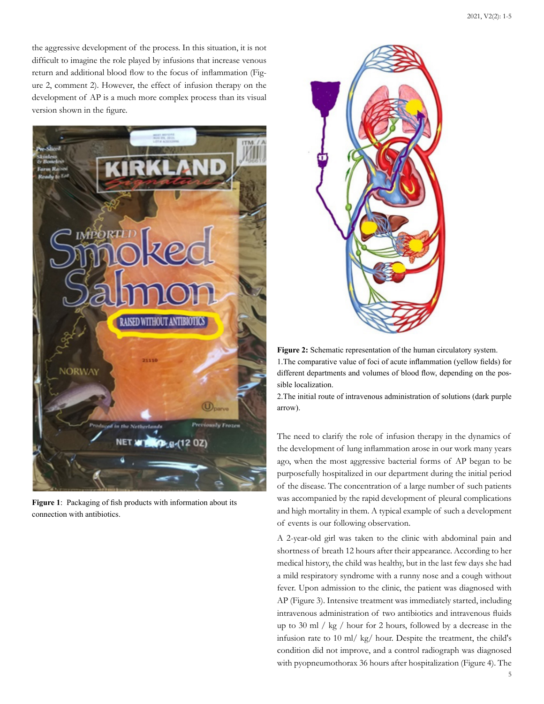the aggressive development of the process. In this situation, it is not difficult to imagine the role played by infusions that increase venous return and additional blood flow to the focus of inflammation (Figure 2, comment 2). However, the effect of infusion therapy on the development of AP is a much more complex process than its visual version shown in the figure.



**Figure 1**: Packaging of fish products with information about its connection with antibiotics.



**Figure 2:** Schematic representation of the human circulatory system. 1.The comparative value of foci of acute inflammation (yellow fields) for different departments and volumes of blood flow, depending on the possible localization.

2.The initial route of intravenous administration of solutions (dark purple arrow).

The need to clarify the role of infusion therapy in the dynamics of the development of lung inflammation arose in our work many years ago, when the most aggressive bacterial forms of AP began to be purposefully hospitalized in our department during the initial period of the disease. The concentration of a large number of such patients was accompanied by the rapid development of pleural complications and high mortality in them. A typical example of such a development of events is our following observation.

A 2-year-old girl was taken to the clinic with abdominal pain and shortness of breath 12 hours after their appearance. According to her medical history, the child was healthy, but in the last few days she had a mild respiratory syndrome with a runny nose and a cough without fever. Upon admission to the clinic, the patient was diagnosed with AP (Figure 3). Intensive treatment was immediately started, including intravenous administration of two antibiotics and intravenous fluids up to 30 ml / kg / hour for 2 hours, followed by a decrease in the infusion rate to 10 ml/ kg/ hour. Despite the treatment, the child's condition did not improve, and a control radiograph was diagnosed with pyopneumothorax 36 hours after hospitalization (Figure 4). The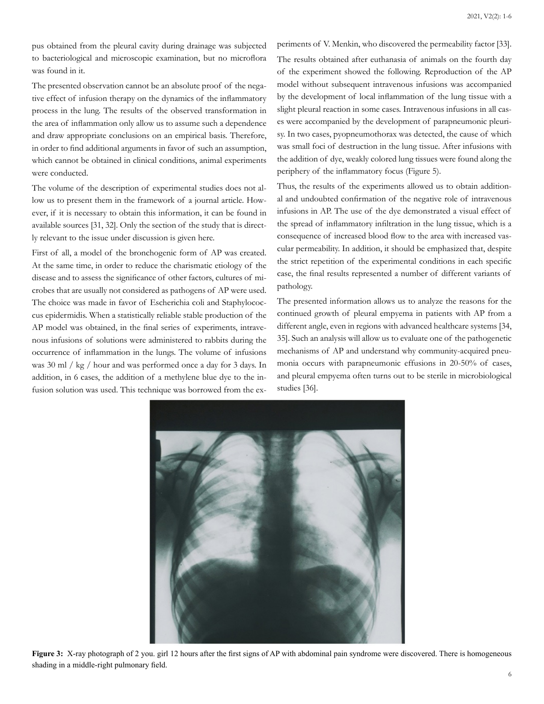pus obtained from the pleural cavity during drainage was subjected to bacteriological and microscopic examination, but no microflora was found in it.

The presented observation cannot be an absolute proof of the negative effect of infusion therapy on the dynamics of the inflammatory process in the lung. The results of the observed transformation in the area of inflammation only allow us to assume such a dependence and draw appropriate conclusions on an empirical basis. Therefore, in order to find additional arguments in favor of such an assumption, which cannot be obtained in clinical conditions, animal experiments were conducted.

The volume of the description of experimental studies does not allow us to present them in the framework of a journal article. However, if it is necessary to obtain this information, it can be found in available sources [31, 32]. Only the section of the study that is directly relevant to the issue under discussion is given here.

First of all, a model of the bronchogenic form of AP was created. At the same time, in order to reduce the charismatic etiology of the disease and to assess the significance of other factors, cultures of microbes that are usually not considered as pathogens of AP were used. The choice was made in favor of Escherichia coli and Staphylococcus epidermidis. When a statistically reliable stable production of the AP model was obtained, in the final series of experiments, intravenous infusions of solutions were administered to rabbits during the occurrence of inflammation in the lungs. The volume of infusions was 30 ml / kg / hour and was performed once a day for 3 days. In addition, in 6 cases, the addition of a methylene blue dye to the infusion solution was used. This technique was borrowed from the ex-

periments of V. Mеnkin, who discovered the permeability factor [33]. The results obtained after euthanasia of animals on the fourth day of the experiment showed the following. Reproduction of the AP model without subsequent intravenous infusions was accompanied by the development of local inflammation of the lung tissue with a slight pleural reaction in some cases. Intravenous infusions in all cases were accompanied by the development of parapneumonic pleurisy. In two cases, pyopneumothorax was detected, the cause of which was small foci of destruction in the lung tissue. After infusions with the addition of dye, weakly colored lung tissues were found along the periphery of the inflammatory focus (Figure 5).

Thus, the results of the experiments allowed us to obtain additional and undoubted confirmation of the negative role of intravenous infusions in AP. The use of the dye demonstrated a visual effect of the spread of inflammatory infiltration in the lung tissue, which is a consequence of increased blood flow to the area with increased vascular permeability. In addition, it should be emphasized that, despite the strict repetition of the experimental conditions in each specific case, the final results represented a number of different variants of pathology.

The presented information allows us to analyze the reasons for the continued growth of pleural empyema in patients with AP from a different angle, even in regions with advanced healthcare systems [34, 35]. Such an analysis will allow us to evaluate one of the pathogenetic mechanisms of AP and understand why community-acquired pneumonia occurs with parapneumonic effusions in 20-50% of cases, and pleural empyema often turns out to be sterile in microbiological studies [36].



**Figure 3:** X-ray photograph of 2 you. girl 12 hours after the first signs of AP with abdominal pain syndrome were discovered. There is homogeneous shading in a middle-right pulmonary field.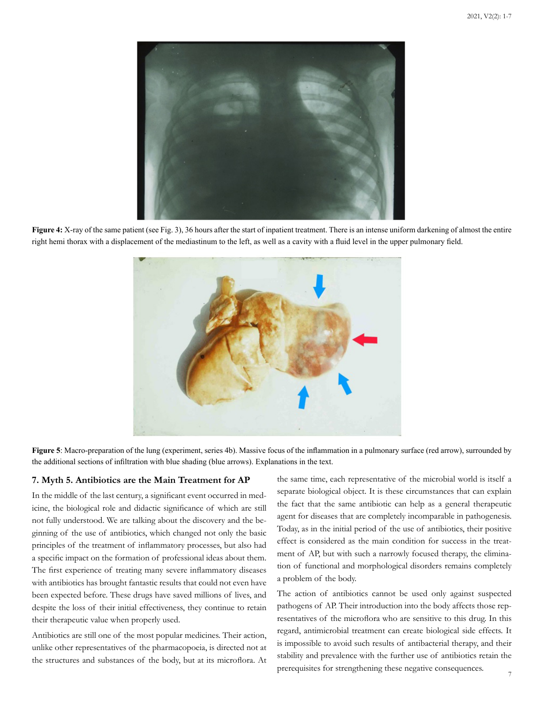

**Figure 4:** X-ray of the same patient (see Fig. 3), 36 hours after the start of inpatient treatment. There is an intense uniform darkening of almost the entire right hemi thorax with a displacement of the mediastinum to the left, as well as a cavity with a fluid level in the upper pulmonary field.



**Figure 5**: Macro-preparation of the lung (experiment, series 4b). Massive focus of the inflammation in a pulmonary surface (red arrow), surrounded by the additional sections of infiltration with blue shading (blue arrows). Explanations in the text.

#### **7. Myth 5. Antibiotics are the Main Treatment for AP**

In the middle of the last century, a significant event occurred in medicine, the biological role and didactic significance of which are still not fully understood. We are talking about the discovery and the beginning of the use of antibiotics, which changed not only the basic principles of the treatment of inflammatory processes, but also had a specific impact on the formation of professional ideas about them. The first experience of treating many severe inflammatory diseases with antibiotics has brought fantastic results that could not even have been expected before. These drugs have saved millions of lives, and despite the loss of their initial effectiveness, they continue to retain their therapeutic value when properly used.

Аntibiotics are still one of the most popular medicines. Their action, unlike other representatives of the pharmacopoeia, is directed not at the structures and substances of the body, but at its microflora. At

the same time, each representative of the microbial world is itself a separate biological object. It is these circumstances that can explain the fact that the same antibiotic can help as a general therapeutic agent for diseases that are completely incomparable in pathogenesis. Today, as in the initial period of the use of antibiotics, their positive effect is considered as the main condition for success in the treatment of AP, but with such a narrowly focused therapy, the elimination of functional and morphological disorders remains completely a problem of the body.

The action of antibiotics cannot be used only against suspected pathogens of AP. Their introduction into the body affects those representatives of the microflora who are sensitive to this drug. In this regard, antimicrobial treatment can create biological side effects. It is impossible to avoid such results of antibacterial therapy, and their stability and prevalence with the further use of antibiotics retain the prerequisites for strengthening these negative consequences.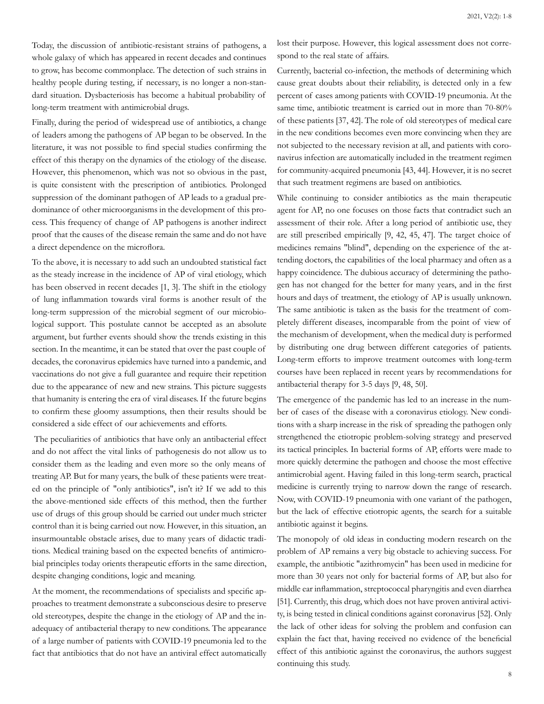Today, the discussion of antibiotic-resistant strains of pathogens, a whole galaxy of which has appeared in recent decades and continues to grow, has become commonplace. The detection of such strains in healthy people during testing, if necessary, is no longer a non-standard situation. Dysbacteriosis has become a habitual probability of long-term treatment with antimicrobial drugs.

Finally, during the period of widespread use of antibiotics, a change of leaders among the pathogens of AP began to be observed. In the literature, it was not possible to find special studies confirming the effect of this therapy on the dynamics of the etiology of the disease. However, this phenomenon, which was not so obvious in the past, is quite consistent with the prescription of antibiotics. Prolonged suppression of the dominant pathogen of AP leads to a gradual predominance of other microorganisms in the development of this process. This frequency of change of AP pathogens is another indirect proof that the causes of the disease remain the same and do not have a direct dependence on the microflora.

To the above, it is necessary to add such an undoubted statistical fact as the steady increase in the incidence of AP of viral etiology, which has been observed in recent decades [1, 3]. The shift in the etiology of lung inflammation towards viral forms is another result of the long-term suppression of the microbial segment of our microbiological support. This postulate cannot be accepted as an absolute argument, but further events should show the trends existing in this section. In the meantime, it can be stated that over the past couple of decades, the coronavirus epidemics have turned into a pandemic, and vaccinations do not give a full guarantee and require their repetition due to the appearance of new and new strains. This picture suggests that humanity is entering the era of viral diseases. If the future begins to confirm these gloomy assumptions, then their results should be considered a side effect of our achievements and efforts.

 The peculiarities of antibiotics that have only an antibacterial effect and do not affect the vital links of pathogenesis do not allow us to consider them as the leading and even more so the only means of treating AP. But for many years, the bulk of these patients were treated on the principle of "only antibiotics", isn't it? If we add to this the above-mentioned side effects of this method, then the further use of drugs of this group should be carried out under much stricter control than it is being carried out now. However, in this situation, an insurmountable obstacle arises, due to many years of didactic traditions. Medical training based on the expected benefits of antimicrobial principles today orients therapeutic efforts in the same direction, despite changing conditions, logic and meaning.

At the moment, the recommendations of specialists and specific approaches to treatment demonstrate a subconscious desire to preserve old stereotypes, despite the change in the etiology of AP and the inadequacy of antibacterial therapy to new conditions. The appearance of a large number of patients with COVID-19 pneumonia led to the fact that antibiotics that do not have an antiviral effect automatically lost their purpose. However, this logical assessment does not correspond to the real state of affairs.

Currently, bacterial co-infection, the methods of determining which cause great doubts about their reliability, is detected only in a few percent of cases among patients with COVID-19 pneumonia. At the same time, antibiotic treatment is carried out in more than 70-80% of these patients [37, 42]. The role of old stereotypes of medical care in the new conditions becomes even more convincing when they are not subjected to the necessary revision at all, and patients with coronavirus infection are automatically included in the treatment regimen for community-acquired pneumonia [43, 44]. However, it is no secret that such treatment regimens are based on antibiotics.

While continuing to consider antibiotics as the main therapeutic agent for AP, no one focuses on those facts that contradict such an assessment of their role. After a long period of antibiotic use, they are still prescribed empirically [9, 42, 45, 47]. The target choice of medicines remains "blind", depending on the experience of the attending doctors, the capabilities of the local pharmacy and often as a happy coincidence. The dubious accuracy of determining the pathogen has not changed for the better for many years, and in the first hours and days of treatment, the etiology of AP is usually unknown. The same antibiotic is taken as the basis for the treatment of completely different diseases, incomparable from the point of view of the mechanism of development, when the medical duty is performed by distributing one drug between different categories of patients. Long-term efforts to improve treatment outcomes with long-term courses have been replaced in recent years by recommendations for antibacterial therapy for 3-5 days [9, 48, 50].

The emergence of the pandemic has led to an increase in the number of cases of the disease with a coronavirus etiology. New conditions with a sharp increase in the risk of spreading the pathogen only strengthened the etiotropic problem-solving strategy and preserved its tactical principles. In bacterial forms of AP, efforts were made to more quickly determine the pathogen and choose the most effective antimicrobial agent. Having failed in this long-term search, practical medicine is currently trying to narrow down the range of research. Now, with COVID-19 pneumonia with one variant of the pathogen, but the lack of effective etiotropic agents, the search for a suitable antibiotic against it begins.

The monopoly of old ideas in conducting modern research on the problem of AP remains a very big obstacle to achieving success. For example, the antibiotic "azithromycin" has been used in medicine for more than 30 years not only for bacterial forms of AP, but also for middle ear inflammation, streptococcal pharyngitis and even diarrhea [51]. Currently, this drug, which does not have proven antiviral activity, is being tested in clinical conditions against coronavirus [52]. Only the lack of other ideas for solving the problem and confusion can explain the fact that, having received no evidence of the beneficial effect of this antibiotic against the coronavirus, the authors suggest continuing this study.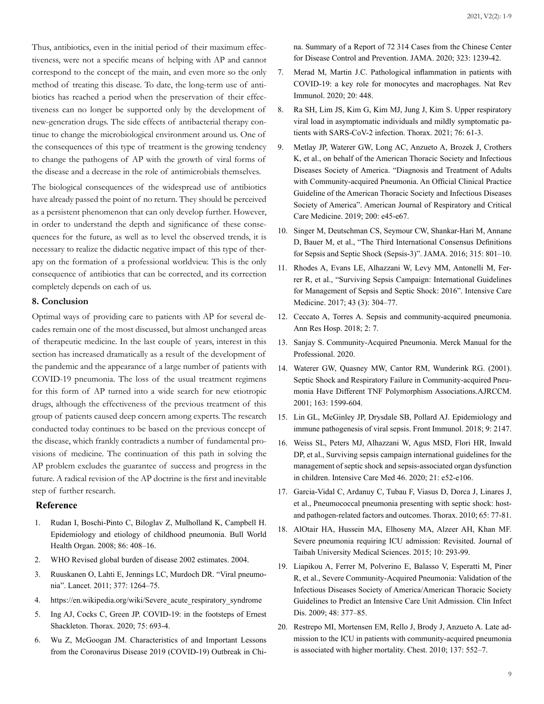Thus, antibiotics, even in the initial period of their maximum effectiveness, were not a specific means of helping with AP and cannot correspond to the concept of the main, and even more so the only method of treating this disease. To date, the long-term use of antibiotics has reached a period when the preservation of their effectiveness can no longer be supported only by the development of new-generation drugs. The side effects of antibacterial therapy continue to change the microbiological environment around us. One of the consequences of this type of treatment is the growing tendency to change the pathogens of AP with the growth of viral forms of the disease and a decrease in the role of antimicrobials themselves.

The biological consequences of the widespread use of antibiotics have already passed the point of no return. They should be perceived as a persistent phenomenon that can only develop further. However, in order to understand the depth and significance of these consequences for the future, as well as to level the observed trends, it is necessary to realize the didactic negative impact of this type of therapy on the formation of a professional worldview. This is the only consequence of antibiotics that can be corrected, and its correction completely depends on each of us.

#### **8. Conclusion**

Optimal ways of providing care to patients with AP for several decades remain one of the most discussed, but almost unchanged areas of therapeutic medicine. In the last couple of years, interest in this section has increased dramatically as a result of the development of the pandemic and the appearance of a large number of patients with COVID-19 pneumonia. The loss of the usual treatment regimens for this form of AP turned into a wide search for new etiotropic drugs, although the effectiveness of the previous treatment of this group of patients caused deep concern among experts. The research conducted today continues to be based on the previous concept of the disease, which frankly contradicts a number of fundamental provisions of medicine. The continuation of this path in solving the AP problem excludes the guarantee of success and progress in the future. A radical revision of the AP doctrine is the first and inevitable step of further research.

#### **Reference**

- 1. [Rudan I, Boschi-Pinto C, Biloglav Z, Mulholland K, Camp](https://pubmed.ncbi.nlm.nih.gov/18545744/)bell H. [Epidemiology and etiology of childhood pneumonia. Bull World](https://pubmed.ncbi.nlm.nih.gov/18545744/) [Health Organ. 2008; 86: 408–16.](https://pubmed.ncbi.nlm.nih.gov/18545744/)
- 2. WHO Revised global burden of disease 2002 estimates. 2004.
- 3. [Ruuskanen O, Lahti E, Jennings LC, Murdoch DR. "Viral pneumo](https://pubmed.ncbi.nlm.nih.gov/21435708/)[nia". Lancet. 2011; 377: 1264–75.](https://pubmed.ncbi.nlm.nih.gov/21435708/)
- 4. https://en.wikipedia.org/wiki/Severe acute respiratory syndrome
- 5. [Ing AJ, Cocks C, Green JP. COVID-19: in the footsteps of Ernest](https://pubmed.ncbi.nlm.nih.gov/32461231/) [Shackleton. Thorax. 2020; 75: 693-4.](https://pubmed.ncbi.nlm.nih.gov/32461231/)
- 6. [Wu Z, McGoogan JM. Characteristics of and Important Lessons](https://pubmed.ncbi.nlm.nih.gov/32091533/)  [from the Coronavirus Disease 2019 \(COVID-19\) Outbreak in Chi](https://pubmed.ncbi.nlm.nih.gov/32091533/)-

na. Summary of a Report of 72 [314 Cases from the Chinese Center](https://pubmed.ncbi.nlm.nih.gov/32091533/) [for Disease Control and Prevention. JAMA. 2020; 323: 1239-42.](https://pubmed.ncbi.nlm.nih.gov/32091533/)

- 7. [Merad M, Martin J.C. Pathological inflammation in patients with](https://pubmed.ncbi.nlm.nih.gov/32488203/) [COVID-19: a key role for monocytes and macrophages. Nat Rev](https://pubmed.ncbi.nlm.nih.gov/32488203/) [Immunol. 2020; 20: 448.](https://pubmed.ncbi.nlm.nih.gov/32488203/)
- 8. [Ra SH, Lim JS, Kim G, Kim MJ, Jung J, Kim S. Upper respiratory](https://pubmed.ncbi.nlm.nih.gov/32963115/) [viral load in asymptomatic individuals and mildly symptomatic pa](https://pubmed.ncbi.nlm.nih.gov/32963115/)[tients with SARS-CoV-2 infection. Thorax. 2021; 76: 61-3.](https://pubmed.ncbi.nlm.nih.gov/32963115/)
- 9. [Metlay JP, Waterer GW, Long AC, Anzueto A, Brozek J, Crothers](https://pubmed.ncbi.nlm.nih.gov/31573350/)  [K, et al., on behalf of the American Thoracic Society and Infectious](https://pubmed.ncbi.nlm.nih.gov/31573350/) [Diseases Society of America. "Diagnosis and Treatment of Adults](https://pubmed.ncbi.nlm.nih.gov/31573350/) [with Community-acquired Pneumonia. An Official Clinical Practice](https://pubmed.ncbi.nlm.nih.gov/31573350/) [Guideline of the American Thoracic Society and Infectious Diseases](https://pubmed.ncbi.nlm.nih.gov/31573350/)  [Society of America". American Journal of Respiratory and Critical](https://pubmed.ncbi.nlm.nih.gov/31573350/) [Care Medicine. 2019; 200: e45-e67.](https://pubmed.ncbi.nlm.nih.gov/31573350/)
- 10. [Singer M, Deutschman CS, Seymour CW, Shankar-Hari M, Annane](https://pubmed.ncbi.nlm.nih.gov/26903338/) [D, Bauer M, et al., "The Third International Consensus Definitions](https://pubmed.ncbi.nlm.nih.gov/26903338/) [for Sepsis and Septic Shock \(Sepsis-3\)". JAMA. 2016; 315: 801–10.](https://pubmed.ncbi.nlm.nih.gov/26903338/)
- 11. [Rhodes A, Evans LE, Alhazzani W, Levy MM, Antonelli M, Fer](https://pubmed.ncbi.nlm.nih.gov/28101605/)[rer R, et al., "Surviving Sepsis Campaign: International Guidelines](https://pubmed.ncbi.nlm.nih.gov/28101605/) [for Management of Sepsis and Septic Shock: 2016". Intensive Care](https://pubmed.ncbi.nlm.nih.gov/28101605/) [Medicine. 2017; 43 \(3\): 304–77.](https://pubmed.ncbi.nlm.nih.gov/28101605/)
- 12. [Ceccato A, Torres A. Sepsis and community-acquired pneumonia.](https://arh.amegroups.com/article/view/4364/5301) [Ann Res Hosp. 2018; 2: 7.](https://arh.amegroups.com/article/view/4364/5301)
- 13. [Sanjay S. Community-Acquired Pneumonia. Merck Manual for the](https://www.msdmanuals.com/en-in/professional/pulmonary-disorders/pneumonia/community-acquired-pneumonia) [Professional. 2020.](https://www.msdmanuals.com/en-in/professional/pulmonary-disorders/pneumonia/community-acquired-pneumonia)
- 14. [Waterer GW, Quasney MW, Cantor RM, Wunderink RG. \(2001\).](https://pubmed.ncbi.nlm.nih.gov/11401880/) [Septic Shock and Respiratory Failure in Community-acquired Pneu](https://pubmed.ncbi.nlm.nih.gov/11401880/)[monia Have Different TNF Polymorphism Associations.AJRCCM.](https://pubmed.ncbi.nlm.nih.gov/11401880/)  [2001; 163: 1599-604.](https://pubmed.ncbi.nlm.nih.gov/11401880/)
- 15. [Lin GL, McGinley JP, Drysdale SB, Pollard AJ. Epidemiology and](https://pubmed.ncbi.nlm.nih.gov/30319615/) [immune pathogenesis of viral sepsis. Front Immunol. 2018; 9: 2147.](https://pubmed.ncbi.nlm.nih.gov/30319615/)
- 16. [Weiss SL, Peters MJ, Alhazzani W, Agus MSD, Flori HR, Inwald](https://pubmed.ncbi.nlm.nih.gov/32032273/) [DP, et al., Surviving sepsis campaign international guidelines for the](https://pubmed.ncbi.nlm.nih.gov/32032273/) [management of septic shock and sepsis-associated organ dysfunction](https://pubmed.ncbi.nlm.nih.gov/32032273/) [in children. Intensive Care Med 46. 2020; 21: e52-e106.](https://pubmed.ncbi.nlm.nih.gov/32032273/)
- 17. [Garcia-Vidal C, Ardanuy C, Tubau F, Viasus D, Dorca J, Linares J,](https://pubmed.ncbi.nlm.nih.gov/19996337/)  [et al., Pneumococcal pneumonia presenting with septic shock: host](https://pubmed.ncbi.nlm.nih.gov/19996337/)[and pathogen-related factors and outcomes. Thorax. 2010; 65: 77-81.](https://pubmed.ncbi.nlm.nih.gov/19996337/)
- 18. [AlOtair HA, Hussein MA, Elhoseny MA, Alzeer AH, Khan MF.](https://www.sciencedirect.com/science/article/pii/S1658361215000682) [Severe pneumonia requiring ICU admission: Revisited. Journal of](https://www.sciencedirect.com/science/article/pii/S1658361215000682) [Taibah University Medical Sciences. 2015; 10: 293-99.](https://www.sciencedirect.com/science/article/pii/S1658361215000682)
- 19. [Liapikou A, Ferrer M, Polverino E, Balasso V, Esperatti M, Piner](https://pubmed.ncbi.nlm.nih.gov/19140759/) [R, et al., Severe Community-Acquired Pneumonia: Validation of the](https://pubmed.ncbi.nlm.nih.gov/19140759/) [Infectious Diseases Society of America/American Thoracic Society](https://pubmed.ncbi.nlm.nih.gov/19140759/) [Guidelines to Predict an Intensive Care Unit Admission. Clin Infect](https://pubmed.ncbi.nlm.nih.gov/19140759/) [Dis. 2009; 48: 377–85.](https://pubmed.ncbi.nlm.nih.gov/19140759/)
- 20. [Restrepo MI, Mortensen EM, Rello J, Brody J, Anzueto A. Late ad](https://pubmed.ncbi.nlm.nih.gov/19880910/)[mission to the ICU in patients with community-acquired pneumonia](https://pubmed.ncbi.nlm.nih.gov/19880910/) [is associated with higher mortality. Chest. 2010; 137: 552–7.](https://pubmed.ncbi.nlm.nih.gov/19880910/)